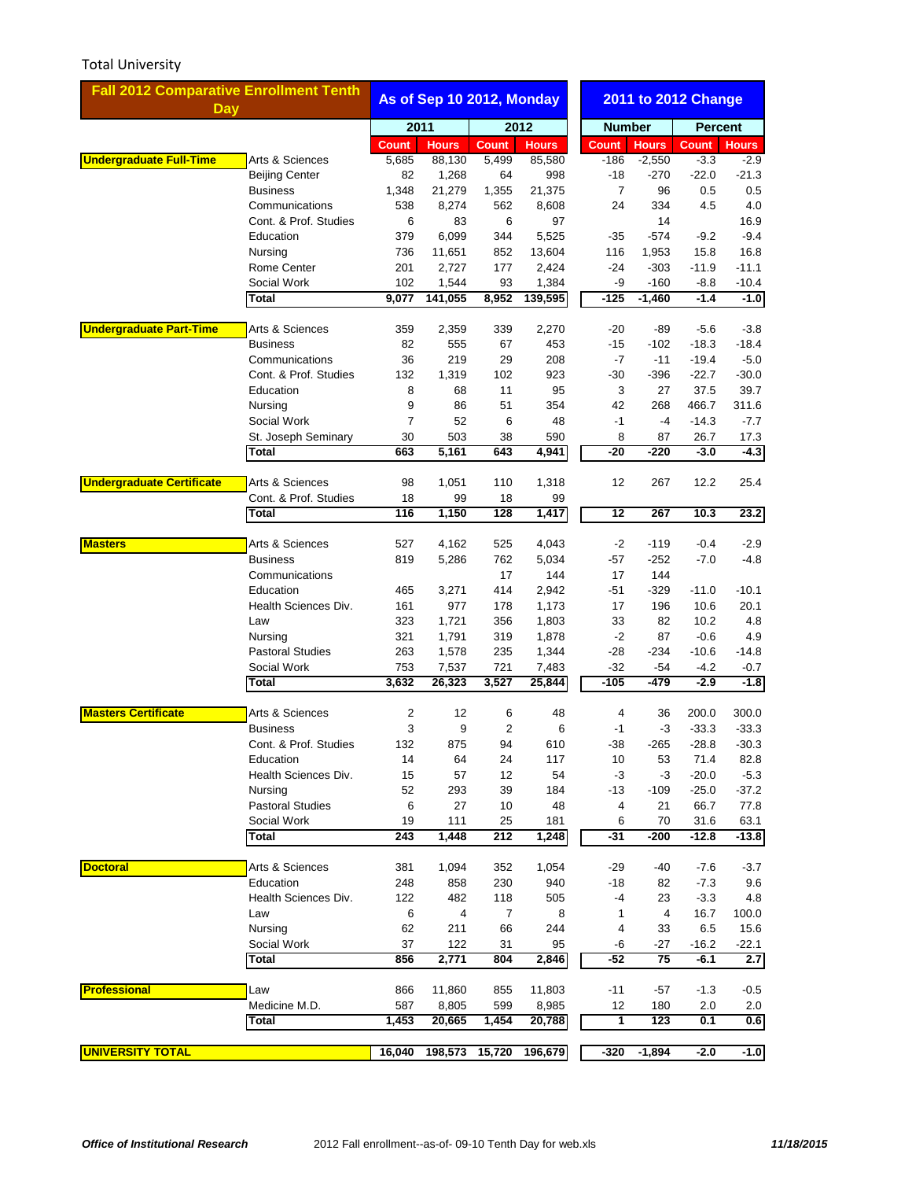## Total University

| <b>Fall 2012 Comparative Enrollment Tenth</b> |                                          | As of Sep 10 2012, Monday |                 |                        |                 | 2011 to 2012 Change |               |                 |                 |
|-----------------------------------------------|------------------------------------------|---------------------------|-----------------|------------------------|-----------------|---------------------|---------------|-----------------|-----------------|
| <b>Day</b>                                    |                                          |                           |                 |                        |                 |                     |               |                 |                 |
|                                               |                                          |                           | 2012<br>2011    |                        |                 | <b>Number</b>       |               | <b>Percent</b>  |                 |
|                                               |                                          | <b>Count</b>              | <b>Hours</b>    | <b>Count</b>           | <b>Hours</b>    | <b>Count</b>        | <b>Hours</b>  | <b>Count</b>    | <b>Hours</b>    |
| <b>Undergraduate Full-Time</b>                | Arts & Sciences                          | 5,685                     | 88,130          | 5,499                  | 85,580          | $-186$              | $-2,550$      | $-3.3$          | $-2.9$          |
|                                               | <b>Beijing Center</b><br><b>Business</b> | 82                        | 1,268<br>21,279 | 64                     | 998             | $-18$<br>7          | $-270$<br>96  | $-22.0$         | $-21.3$<br>0.5  |
|                                               | Communications                           | 1,348<br>538              | 8,274           | 1,355<br>562           | 21,375<br>8,608 | 24                  | 334           | 0.5<br>4.5      | 4.0             |
|                                               | Cont. & Prof. Studies                    | 6                         | 83              | 6                      | 97              |                     | 14            |                 | 16.9            |
|                                               | Education                                | 379                       | 6,099           | 344                    | 5,525           | -35                 | $-574$        | $-9.2$          | $-9.4$          |
|                                               | Nursing                                  | 736                       | 11,651          | 852                    | 13,604          | 116                 | 1,953         | 15.8            | 16.8            |
|                                               | Rome Center                              | 201                       | 2,727           | 177                    | 2,424           | $-24$               | $-303$        | $-11.9$         | $-11.1$         |
|                                               | Social Work                              | 102                       | 1,544           | 93                     | 1,384           | -9                  | $-160$        | $-8.8$          | $-10.4$         |
|                                               | Total                                    | 9,077                     | 141,055         | 8,952                  | 139,595         | $-125$              | $-1,460$      | $-1.4$          | $-1.0$          |
|                                               |                                          |                           |                 |                        |                 |                     |               |                 |                 |
| <b>Undergraduate Part-Time</b>                | Arts & Sciences                          | 359                       | 2,359           | 339                    | 2,270           | -20                 | -89           | $-5.6$          | $-3.8$          |
|                                               | <b>Business</b>                          | 82                        | 555             | 67                     | 453             | -15                 | $-102$        | $-18.3$         | $-18.4$         |
|                                               | Communications                           | 36                        | 219             | 29                     | 208             | -7                  | $-11$         | $-19.4$         | $-5.0$          |
|                                               | Cont. & Prof. Studies                    | 132                       | 1,319           | 102                    | 923             | -30                 | $-396$        | $-22.7$         | $-30.0$         |
|                                               | Education                                | 8                         | 68              | 11                     | 95              | 3                   | 27            | 37.5            | 39.7            |
|                                               | Nursing                                  | 9                         | 86              | 51                     | 354             | 42                  | 268           | 466.7           | 311.6           |
|                                               | Social Work                              | 7                         | 52              | 6                      | 48              | $-1$                | $-4$          | $-14.3$         | -7.7            |
|                                               | St. Joseph Seminary<br>Total             | 30<br>663                 | 503<br>5,161    | 38<br>643              | 590<br>4,941    | 8<br>$-20$          | 87<br>$-220$  | 26.7<br>$-3.0$  | 17.3<br>$-4.3$  |
|                                               |                                          |                           |                 |                        |                 |                     |               |                 |                 |
| <b>Undergraduate Certificate</b>              | Arts & Sciences                          | 98                        | 1,051           | 110                    | 1,318           | 12                  | 267           | 12.2            | 25.4            |
|                                               | Cont. & Prof. Studies                    | 18                        | 99              | 18                     | 99              |                     |               |                 |                 |
|                                               | Total                                    | 116                       | 1,150           | 128                    | 1,417           | $\overline{12}$     | 267           | 10.3            | 23.2            |
|                                               |                                          |                           |                 |                        |                 |                     |               |                 |                 |
| <b>Masters</b>                                | Arts & Sciences                          | 527                       | 4,162           | 525                    | 4,043           | $-2$                | -119          | $-0.4$          | $-2.9$          |
|                                               | <b>Business</b>                          | 819                       | 5,286           | 762                    | 5,034           | -57                 | $-252$        | $-7.0$          | $-4.8$          |
|                                               | Communications                           |                           |                 | 17                     | 144             | 17                  | 144           |                 |                 |
|                                               | Education<br>Health Sciences Div.        | 465                       | 3,271<br>977    | 414                    | 2,942           | -51<br>17           | $-329$<br>196 | $-11.0$<br>10.6 | $-10.1$         |
|                                               | Law                                      | 161<br>323                | 1,721           | 178<br>356             | 1,173<br>1,803  | 33                  | 82            | 10.2            | 20.1<br>4.8     |
|                                               | Nursing                                  | 321                       | 1,791           | 319                    | 1,878           | $-2$                | 87            | $-0.6$          | 4.9             |
|                                               | <b>Pastoral Studies</b>                  | 263                       | 1,578           | 235                    | 1,344           | -28                 | $-234$        | $-10.6$         | $-14.8$         |
|                                               | Social Work                              | 753                       | 7,537           | 721                    | 7,483           | -32                 | -54           | $-4.2$          | $-0.7$          |
|                                               | Total                                    | 3,632                     | 26,323          | 3,527                  | 25,844          | $-105$              | $-479$        | $-2.9$          | $-1.8$          |
|                                               |                                          |                           |                 |                        |                 |                     |               |                 |                 |
| <b>Masters Certificate</b>                    | Arts & Sciences                          | 2                         | 12              | 6                      | 48              | 4                   | 36            | 200.0           | 300.0           |
|                                               | <b>Business</b>                          | 3                         | 9               | $\overline{2}$         | 6               | $-1$                | -3            | $-33.3$         | $-33.3$         |
|                                               | Cont. & Prof. Studies                    | 132                       | 875             | 94                     | 610             | $-38$               | $-265$        | $-28.8$         | $-30.3$         |
|                                               | Education                                | 14                        | 64              | 24                     | 117             | 10                  | 53            | 71.4            | 82.8            |
|                                               | Health Sciences Div.                     | 15                        | 57              | 12                     | 54              | -3                  | -3            | $-20.0$         | $-5.3$          |
|                                               | Nursing                                  | 52                        | 293             | 39                     | 184             | -13                 | $-109$        | $-25.0$         | $-37.2$         |
|                                               | <b>Pastoral Studies</b>                  | 6                         | 27              | 10                     | 48              | 4                   | 21            | 66.7            | 77.8            |
|                                               | Social Work<br>Total                     | 19<br>243                 | 111<br>1,448    | 25<br>$\overline{212}$ | 181<br>1,248    | 6<br>$-31$          | 70<br>$-200$  | 31.6<br>$-12.8$ | 63.1<br>$-13.8$ |
|                                               |                                          |                           |                 |                        |                 |                     |               |                 |                 |
| <b>Doctoral</b>                               | Arts & Sciences                          | 381                       | 1,094           | 352                    | 1,054           | -29                 | -40           | $-7.6$          | $-3.7$          |
|                                               | Education                                | 248                       | 858             | 230                    | 940             | $-18$               | 82            | $-7.3$          | 9.6             |
|                                               | Health Sciences Div.                     | 122                       | 482             | 118                    | 505             | -4                  | 23            | $-3.3$          | 4.8             |
|                                               | Law                                      | 6                         | 4               | 7                      | 8               | 1                   | 4             | 16.7            | 100.0           |
|                                               | Nursing                                  | 62                        | 211             | 66                     | 244             | 4                   | 33            | 6.5             | 15.6            |
|                                               | Social Work                              | 37                        | 122             | 31                     | 95              | -6                  | $-27$         | $-16.2$         | $-22.1$         |
|                                               | Total                                    | 856                       | 2,771           | 804                    | 2,846           | $-52$               | 75            | $-6.1$          | 2.7             |
|                                               |                                          |                           |                 |                        |                 |                     |               |                 |                 |
| <b>Professional</b>                           | Law<br>Medicine M.D.                     | 866<br>587                | 11,860<br>8,805 | 855<br>599             | 11,803<br>8,985 | -11<br>12           | -57<br>180    | $-1.3$<br>2.0   | $-0.5$<br>2.0   |
|                                               | Total                                    | 1,453                     | 20,665          | 1,454                  | 20,788          | 1                   | 123           | 0.1             | 0.6             |
|                                               |                                          |                           |                 |                        |                 |                     |               |                 |                 |
| <b>UNIVERSITY TOTAL</b>                       |                                          | 16,040                    | 198,573         | 15,720                 | 196,679         | $-320$              | $-1,894$      | $-2.0$          | $-1.0$          |